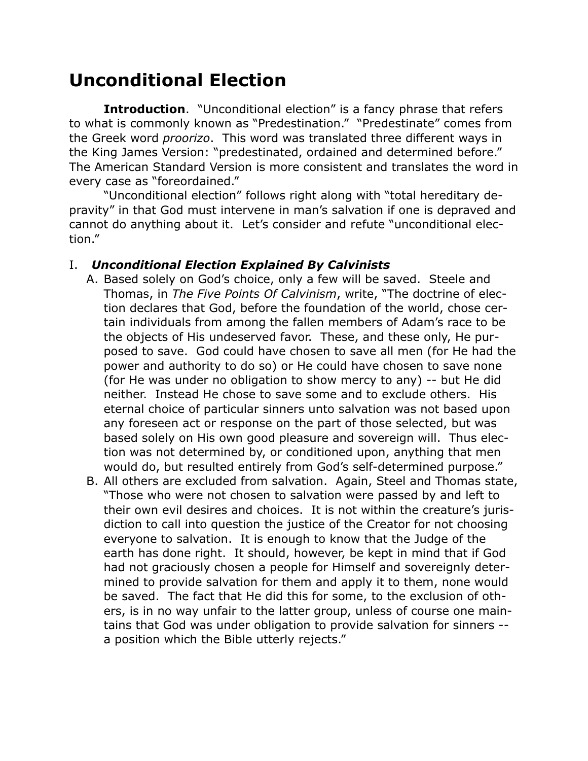# **Unconditional Election**

**Introduction**. "Unconditional election" is a fancy phrase that refers to what is commonly known as "Predestination." "Predestinate" comes from the Greek word *proorizo*. This word was translated three different ways in the King James Version: "predestinated, ordained and determined before." The American Standard Version is more consistent and translates the word in every case as "foreordained."

"Unconditional election" follows right along with "total hereditary depravity" in that God must intervene in man's salvation if one is depraved and cannot do anything about it. Let's consider and refute "unconditional election."

#### I. *Unconditional Election Explained By Calvinists*

- A. Based solely on God's choice, only a few will be saved. Steele and Thomas, in *The Five Points Of Calvinism*, write, "The doctrine of election declares that God, before the foundation of the world, chose certain individuals from among the fallen members of Adam's race to be the objects of His undeserved favor. These, and these only, He purposed to save. God could have chosen to save all men (for He had the power and authority to do so) or He could have chosen to save none (for He was under no obligation to show mercy to any) -- but He did neither. Instead He chose to save some and to exclude others. His eternal choice of particular sinners unto salvation was not based upon any foreseen act or response on the part of those selected, but was based solely on His own good pleasure and sovereign will. Thus election was not determined by, or conditioned upon, anything that men would do, but resulted entirely from God's self-determined purpose."
- B. All others are excluded from salvation. Again, Steel and Thomas state, "Those who were not chosen to salvation were passed by and left to their own evil desires and choices. It is not within the creature's jurisdiction to call into question the justice of the Creator for not choosing everyone to salvation. It is enough to know that the Judge of the earth has done right. It should, however, be kept in mind that if God had not graciously chosen a people for Himself and sovereignly determined to provide salvation for them and apply it to them, none would be saved. The fact that He did this for some, to the exclusion of others, is in no way unfair to the latter group, unless of course one maintains that God was under obligation to provide salvation for sinners - a position which the Bible utterly rejects."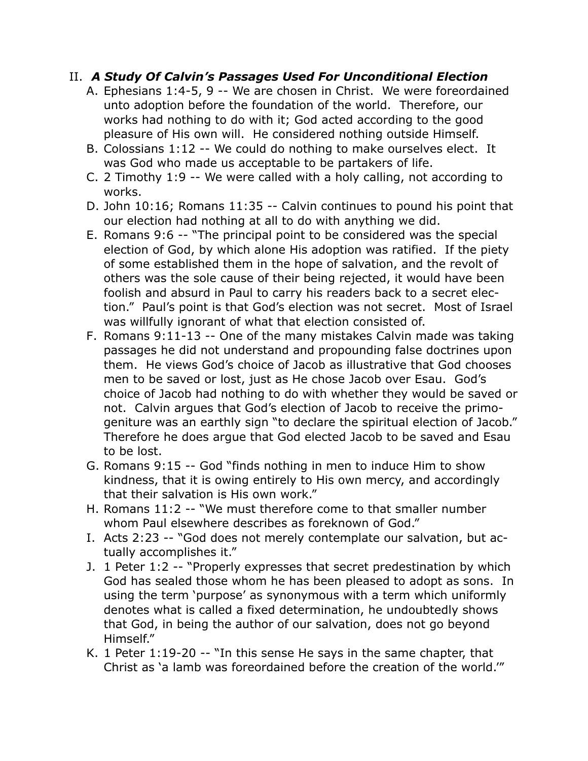### II. *A Study Of Calvin's Passages Used For Unconditional Election*

- A. Ephesians 1:4-5, 9 -- We are chosen in Christ. We were foreordained unto adoption before the foundation of the world. Therefore, our works had nothing to do with it; God acted according to the good pleasure of His own will. He considered nothing outside Himself.
- B. Colossians 1:12 -- We could do nothing to make ourselves elect. It was God who made us acceptable to be partakers of life.
- C. 2 Timothy 1:9 -- We were called with a holy calling, not according to works.
- D. John 10:16; Romans 11:35 -- Calvin continues to pound his point that our election had nothing at all to do with anything we did.
- E. Romans 9:6 -- "The principal point to be considered was the special election of God, by which alone His adoption was ratified. If the piety of some established them in the hope of salvation, and the revolt of others was the sole cause of their being rejected, it would have been foolish and absurd in Paul to carry his readers back to a secret election." Paul's point is that God's election was not secret. Most of Israel was willfully ignorant of what that election consisted of.
- F. Romans 9:11-13 -- One of the many mistakes Calvin made was taking passages he did not understand and propounding false doctrines upon them. He views God's choice of Jacob as illustrative that God chooses men to be saved or lost, just as He chose Jacob over Esau. God's choice of Jacob had nothing to do with whether they would be saved or not. Calvin argues that God's election of Jacob to receive the primogeniture was an earthly sign "to declare the spiritual election of Jacob." Therefore he does argue that God elected Jacob to be saved and Esau to be lost.
- G. Romans 9:15 -- God "finds nothing in men to induce Him to show kindness, that it is owing entirely to His own mercy, and accordingly that their salvation is His own work."
- H. Romans 11:2 -- "We must therefore come to that smaller number whom Paul elsewhere describes as foreknown of God."
- I. Acts 2:23 -- "God does not merely contemplate our salvation, but actually accomplishes it."
- J. 1 Peter 1:2 -- "Properly expresses that secret predestination by which God has sealed those whom he has been pleased to adopt as sons. In using the term 'purpose' as synonymous with a term which uniformly denotes what is called a fixed determination, he undoubtedly shows that God, in being the author of our salvation, does not go beyond Himself."
- K. 1 Peter 1:19-20 -- "In this sense He says in the same chapter, that Christ as 'a lamb was foreordained before the creation of the world.'"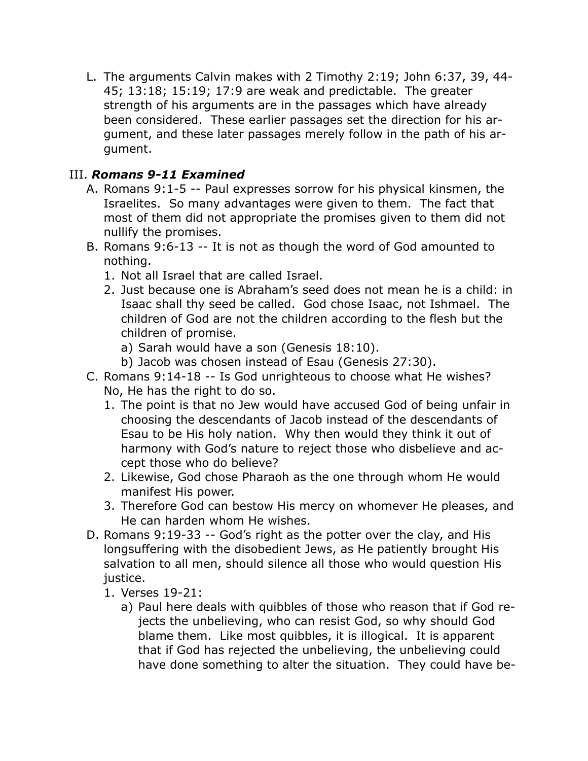L. The arguments Calvin makes with 2 Timothy 2:19; John 6:37, 39, 44- 45; 13:18; 15:19; 17:9 are weak and predictable. The greater strength of his arguments are in the passages which have already been considered. These earlier passages set the direction for his argument, and these later passages merely follow in the path of his argument.

### III. *Romans 9-11 Examined*

- A. Romans 9:1-5 -- Paul expresses sorrow for his physical kinsmen, the Israelites. So many advantages were given to them. The fact that most of them did not appropriate the promises given to them did not nullify the promises.
- B. Romans 9:6-13 -- It is not as though the word of God amounted to nothing.
	- 1. Not all Israel that are called Israel.
	- 2. Just because one is Abraham's seed does not mean he is a child: in Isaac shall thy seed be called. God chose Isaac, not Ishmael. The children of God are not the children according to the flesh but the children of promise.
		- a) Sarah would have a son (Genesis 18:10).
		- b) Jacob was chosen instead of Esau (Genesis 27:30).
- C. Romans 9:14-18 -- Is God unrighteous to choose what He wishes? No, He has the right to do so.
	- 1. The point is that no Jew would have accused God of being unfair in choosing the descendants of Jacob instead of the descendants of Esau to be His holy nation. Why then would they think it out of harmony with God's nature to reject those who disbelieve and accept those who do believe?
	- 2. Likewise, God chose Pharaoh as the one through whom He would manifest His power.
	- 3. Therefore God can bestow His mercy on whomever He pleases, and He can harden whom He wishes.
- D. Romans 9:19-33 -- God's right as the potter over the clay, and His longsuffering with the disobedient Jews, as He patiently brought His salvation to all men, should silence all those who would question His justice.
	- 1. Verses 19-21:
		- a) Paul here deals with quibbles of those who reason that if God rejects the unbelieving, who can resist God, so why should God blame them. Like most quibbles, it is illogical. It is apparent that if God has rejected the unbelieving, the unbelieving could have done something to alter the situation. They could have be-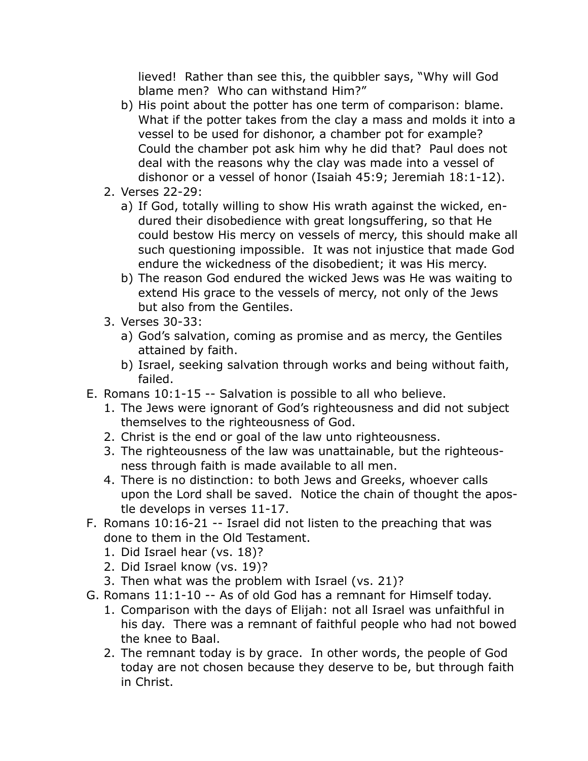lieved! Rather than see this, the quibbler says, "Why will God blame men? Who can withstand Him?"

- b) His point about the potter has one term of comparison: blame. What if the potter takes from the clay a mass and molds it into a vessel to be used for dishonor, a chamber pot for example? Could the chamber pot ask him why he did that? Paul does not deal with the reasons why the clay was made into a vessel of dishonor or a vessel of honor (Isaiah 45:9; Jeremiah 18:1-12).
- 2. Verses 22-29:
	- a) If God, totally willing to show His wrath against the wicked, endured their disobedience with great longsuffering, so that He could bestow His mercy on vessels of mercy, this should make all such questioning impossible. It was not injustice that made God endure the wickedness of the disobedient; it was His mercy.
	- b) The reason God endured the wicked Jews was He was waiting to extend His grace to the vessels of mercy, not only of the Jews but also from the Gentiles.
- 3. Verses 30-33:
	- a) God's salvation, coming as promise and as mercy, the Gentiles attained by faith.
	- b) Israel, seeking salvation through works and being without faith, failed.
- E. Romans 10:1-15 -- Salvation is possible to all who believe.
	- 1. The Jews were ignorant of God's righteousness and did not subject themselves to the righteousness of God.
	- 2. Christ is the end or goal of the law unto righteousness.
	- 3. The righteousness of the law was unattainable, but the righteousness through faith is made available to all men.
	- 4. There is no distinction: to both Jews and Greeks, whoever calls upon the Lord shall be saved. Notice the chain of thought the apostle develops in verses 11-17.
- F. Romans 10:16-21 -- Israel did not listen to the preaching that was done to them in the Old Testament.
	- 1. Did Israel hear (vs. 18)?
	- 2. Did Israel know (vs. 19)?
	- 3. Then what was the problem with Israel (vs. 21)?
- G. Romans 11:1-10 -- As of old God has a remnant for Himself today.
	- 1. Comparison with the days of Elijah: not all Israel was unfaithful in his day. There was a remnant of faithful people who had not bowed the knee to Baal.
	- 2. The remnant today is by grace. In other words, the people of God today are not chosen because they deserve to be, but through faith in Christ.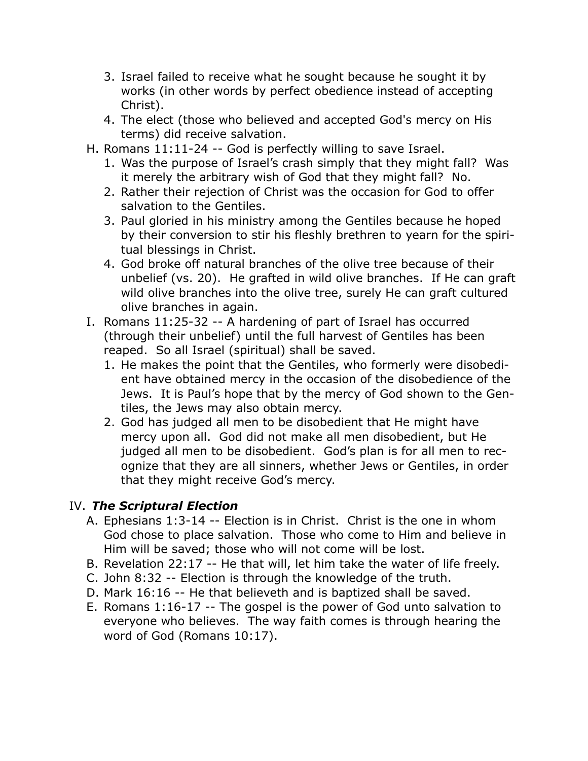- 3. Israel failed to receive what he sought because he sought it by works (in other words by perfect obedience instead of accepting Christ).
- 4. The elect (those who believed and accepted God's mercy on His terms) did receive salvation.
- H. Romans 11:11-24 -- God is perfectly willing to save Israel.
	- 1. Was the purpose of Israel's crash simply that they might fall? Was it merely the arbitrary wish of God that they might fall? No.
	- 2. Rather their rejection of Christ was the occasion for God to offer salvation to the Gentiles.
	- 3. Paul gloried in his ministry among the Gentiles because he hoped by their conversion to stir his fleshly brethren to yearn for the spiritual blessings in Christ.
	- 4. God broke off natural branches of the olive tree because of their unbelief (vs. 20). He grafted in wild olive branches. If He can graft wild olive branches into the olive tree, surely He can graft cultured olive branches in again.
- I. Romans 11:25-32 -- A hardening of part of Israel has occurred (through their unbelief) until the full harvest of Gentiles has been reaped. So all Israel (spiritual) shall be saved.
	- 1. He makes the point that the Gentiles, who formerly were disobedient have obtained mercy in the occasion of the disobedience of the Jews. It is Paul's hope that by the mercy of God shown to the Gentiles, the Jews may also obtain mercy.
	- 2. God has judged all men to be disobedient that He might have mercy upon all. God did not make all men disobedient, but He judged all men to be disobedient. God's plan is for all men to recognize that they are all sinners, whether Jews or Gentiles, in order that they might receive God's mercy.

## IV. *The Scriptural Election*

- A. Ephesians 1:3-14 -- Election is in Christ. Christ is the one in whom God chose to place salvation. Those who come to Him and believe in Him will be saved; those who will not come will be lost.
- B. Revelation 22:17 -- He that will, let him take the water of life freely.
- C. John 8:32 -- Election is through the knowledge of the truth.
- D. Mark 16:16 -- He that believeth and is baptized shall be saved.
- E. Romans 1:16-17 -- The gospel is the power of God unto salvation to everyone who believes. The way faith comes is through hearing the word of God (Romans 10:17).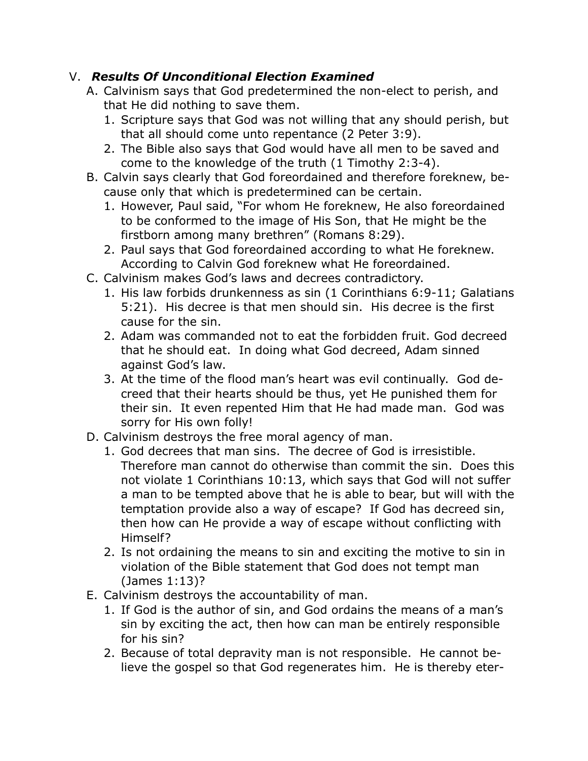## V. *Results Of Unconditional Election Examined*

- A. Calvinism says that God predetermined the non-elect to perish, and that He did nothing to save them.
	- 1. Scripture says that God was not willing that any should perish, but that all should come unto repentance (2 Peter 3:9).
	- 2. The Bible also says that God would have all men to be saved and come to the knowledge of the truth (1 Timothy 2:3-4).
- B. Calvin says clearly that God foreordained and therefore foreknew, because only that which is predetermined can be certain.
	- 1. However, Paul said, "For whom He foreknew, He also foreordained to be conformed to the image of His Son, that He might be the firstborn among many brethren" (Romans 8:29).
	- 2. Paul says that God foreordained according to what He foreknew. According to Calvin God foreknew what He foreordained.
- C. Calvinism makes God's laws and decrees contradictory.
	- 1. His law forbids drunkenness as sin (1 Corinthians 6:9-11; Galatians 5:21). His decree is that men should sin. His decree is the first cause for the sin.
	- 2. Adam was commanded not to eat the forbidden fruit. God decreed that he should eat. In doing what God decreed, Adam sinned against God's law.
	- 3. At the time of the flood man's heart was evil continually. God decreed that their hearts should be thus, yet He punished them for their sin. It even repented Him that He had made man. God was sorry for His own folly!
- D. Calvinism destroys the free moral agency of man.
	- 1. God decrees that man sins. The decree of God is irresistible. Therefore man cannot do otherwise than commit the sin. Does this not violate 1 Corinthians 10:13, which says that God will not suffer a man to be tempted above that he is able to bear, but will with the temptation provide also a way of escape? If God has decreed sin, then how can He provide a way of escape without conflicting with Himself?
	- 2. Is not ordaining the means to sin and exciting the motive to sin in violation of the Bible statement that God does not tempt man (James 1:13)?
- E. Calvinism destroys the accountability of man.
	- 1. If God is the author of sin, and God ordains the means of a man's sin by exciting the act, then how can man be entirely responsible for his sin?
	- 2. Because of total depravity man is not responsible. He cannot believe the gospel so that God regenerates him. He is thereby eter-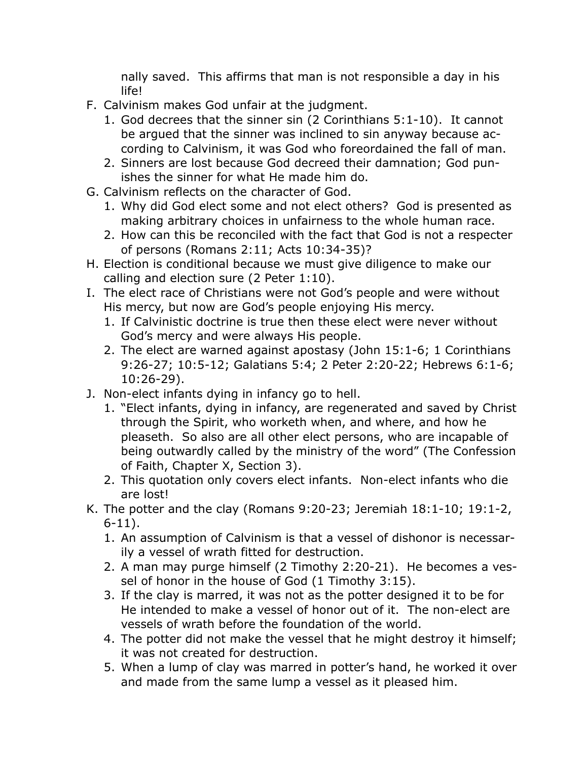nally saved. This affirms that man is not responsible a day in his life!

- F. Calvinism makes God unfair at the judgment.
	- 1. God decrees that the sinner sin (2 Corinthians 5:1-10). It cannot be argued that the sinner was inclined to sin anyway because according to Calvinism, it was God who foreordained the fall of man.
	- 2. Sinners are lost because God decreed their damnation; God punishes the sinner for what He made him do.
- G. Calvinism reflects on the character of God.
	- 1. Why did God elect some and not elect others? God is presented as making arbitrary choices in unfairness to the whole human race.
	- 2. How can this be reconciled with the fact that God is not a respecter of persons (Romans 2:11; Acts 10:34-35)?
- H. Election is conditional because we must give diligence to make our calling and election sure (2 Peter 1:10).
- I. The elect race of Christians were not God's people and were without His mercy, but now are God's people enjoying His mercy.
	- 1. If Calvinistic doctrine is true then these elect were never without God's mercy and were always His people.
	- 2. The elect are warned against apostasy (John 15:1-6; 1 Corinthians 9:26-27; 10:5-12; Galatians 5:4; 2 Peter 2:20-22; Hebrews 6:1-6; 10:26-29).
- J. Non-elect infants dying in infancy go to hell.
	- 1. "Elect infants, dying in infancy, are regenerated and saved by Christ through the Spirit, who worketh when, and where, and how he pleaseth. So also are all other elect persons, who are incapable of being outwardly called by the ministry of the word" (The Confession of Faith, Chapter X, Section 3).
	- 2. This quotation only covers elect infants. Non-elect infants who die are lost!
- K. The potter and the clay (Romans 9:20-23; Jeremiah 18:1-10; 19:1-2, 6-11).
	- 1. An assumption of Calvinism is that a vessel of dishonor is necessarily a vessel of wrath fitted for destruction.
	- 2. A man may purge himself (2 Timothy 2:20-21). He becomes a vessel of honor in the house of God (1 Timothy 3:15).
	- 3. If the clay is marred, it was not as the potter designed it to be for He intended to make a vessel of honor out of it. The non-elect are vessels of wrath before the foundation of the world.
	- 4. The potter did not make the vessel that he might destroy it himself; it was not created for destruction.
	- 5. When a lump of clay was marred in potter's hand, he worked it over and made from the same lump a vessel as it pleased him.